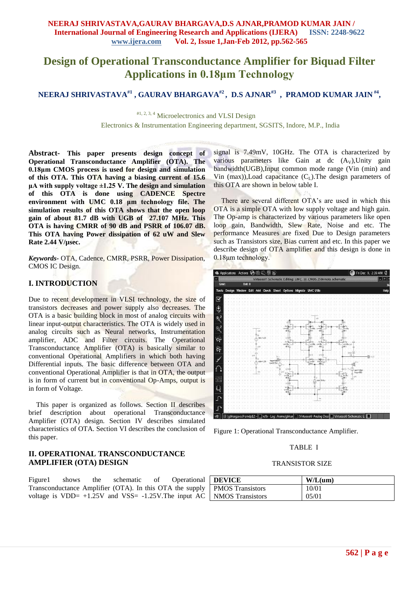# **Design of Operational Transconductance Amplifier for Biquad Filter Applications in 0.18μm Technology**

**NEERAJ SHRIVASTAVA#1 , GAURAV BHARGAVA#2 , D.S AJNAR#3 , PRAMOD KUMAR JAIN #4 ,**

#1, 2, 3, 4 Microelectronics and VLSI Design Electronics & Instrumentation Engineering department, SGSITS, Indore, M.P., India

**Abstract***-* **This paper presents design concept of Operational Transconductance Amplifier (OTA). The 0.18μm CMOS process is used for design and simulation of this OTA. This OTA having a biasing current of 15.6 μA with supply voltage ±1.25 V. The design and simulation of this OTA is done using CADENCE Spectre environment with UMC 0.18 μm technology file. The simulation results of this OTA shows that the open loop gain of about 81.7 dB with UGB of 27.107 MHz. This OTA is having CMRR of 90 dB and PSRR of 106.07 dB. This OTA having Power dissipation of 62 uW and Slew Rate 2.44 V/µsec.**

*Keywords-* OTA, Cadence, CMRR, PSRR, Power Dissipation, CMOS IC Design.

## **I. INTRODUCTION**

Due to recent development in VLSI technology, the size of transistors decreases and power supply also decreases. The OTA is a basic building block in most of analog circuits with linear input-output characteristics. The OTA is widely used in analog circuits such as Neural networks, Instrumentation amplifier, ADC and Filter circuits. The Operational Transconductance Amplifier (OTA) is basically similar to conventional Operational Amplifiers in which both having Differential inputs. The basic difference between OTA and conventional Operational Amplifier is that in OTA, the output is in form of current but in conventional Op-Amps, output is in form of Voltage.

This paper is organized as follows. Section II describes brief description about operational Transconductance Amplifier (OTA) design. Section IV describes simulated characteristics of OTA. Section VI describes the conclusion of this paper.

## **II. OPERATIONAL TRANSCONDUCTANCE AMPLIFIER (OTA) DESIGN**

Figure1 shows the schematic of Operational Transconductance Amplifier (OTA). In this OTA the supply voltage is  $VDD= +1.25V$  and  $VSS= -1.25V$ . The input AC

signal is 7.49mV, 10GHz. The OTA is characterized by various parameters like Gain at dc  $(A_V)$ , Unity gain bandwidth(UGB),Input common mode range (Vin (min) and Vin  $(max)$ ), Load capacitance  $(C<sub>L</sub>)$ . The design parameters of this OTA are shown in below table I.

There are several different OTA's are used in which this OTA is a simple OTA with low supply voltage and high gain. The Op-amp is characterized by various parameters like open loop gain, Bandwidth, Slew Rate, Noise and etc. The performance Measures are fixed Due to Design parameters such as Transistors size, Bias current and etc. In this paper we describe design of OTA amplifier and this design is done in 0.18μm technology.



Figure 1: Operational Transconductance Amplifier.

#### TABLE I

#### TRANSISTOR SIZE

| <b>DEVICE</b>           | W/L(num) |
|-------------------------|----------|
| <b>PMOS</b> Transistors | 10/01    |
| <b>NMOS</b> Transistors | 05/01    |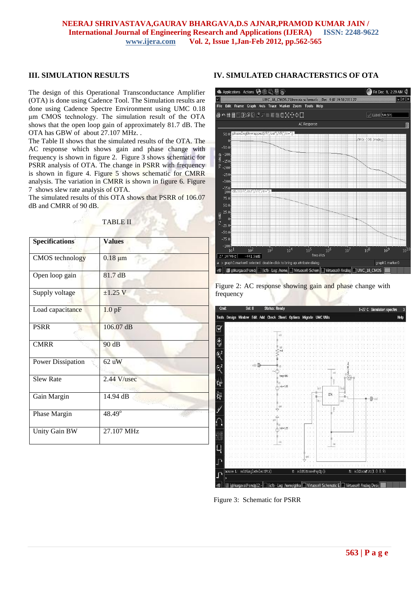#### **NEERAJ SHRIVASTAVA,GAURAV BHARGAVA,D.S AJNAR,PRAMOD KUMAR JAIN / International Journal of Engineering Research and Applications (IJERA) ISSN: 2248-9622 www.ijera.com Vol. 2, Issue 1,Jan-Feb 2012, pp.562-565**

## **III. SIMULATION RESULTS**

The design of this Operational Transconductance Amplifier (OTA) is done using Cadence Tool. The Simulation results are done using Cadence Spectre Environment using UMC 0.18 μm CMOS technology. The simulation result of the OTA shows that the open loop gain of approximately 81.7 dB. The OTA has GBW of about 27.107 MHz. .

The Table II shows that the simulated results of the OTA. The AC response which shows gain and phase change with frequency is shown in figure 2. Figure 3 shows schematic for PSRR analysis of OTA. The change in PSRR with frequency is shown in figure 4. Figure 5 shows schematic for CMRR analysis. The variation in CMRR is shown in figure 6. Figure 7 shows slew rate analysis of OTA.

The simulated results of this OTA shows that PSRR of 106.07 dB and CMRR of 90 dB.

# TABLE II

| <b>Specifications</b>    | <b>Values</b> |
|--------------------------|---------------|
| <b>CMOS</b> technology   | $0.18 \mu m$  |
| Open loop gain           | 81.7 dB       |
| Supply voltage           | $±1.25$ V     |
| Load capacitance         | $1.0$ pF      |
| <b>PSRR</b>              | 106.07 dB     |
| <b>CMRR</b>              | 90 dB         |
| <b>Power Dissipation</b> | 62 uW         |
| <b>Slew Rate</b>         | 2.44 V/usec   |
| Gain Margin              | 14.94 dB      |
| Phase Margin             | 48.49°        |
| Unity Gain BW            | 27.107 MHz    |

#### **IV. SIMULATED CHARACTERSTICS OF OTA**



Figure 2: AC response showing gain and phase change with frequency



Figure 3: Schematic for PSRR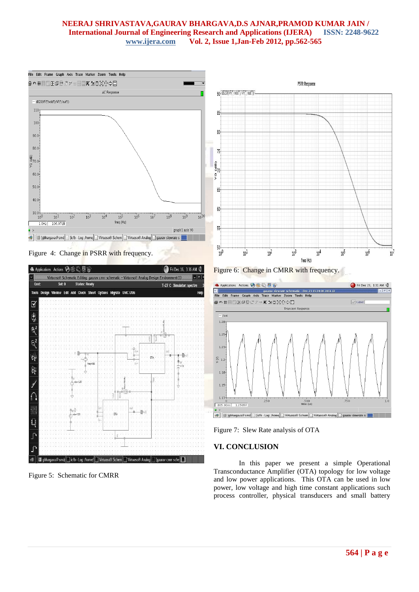## **NEERAJ SHRIVASTAVA,GAURAV BHARGAVA,D.S AJNAR,PRAMOD KUMAR JAIN / International Journal of Engineering Research and Applications (IJERA) ISSN: 2248-9622 www.ijera.com Vol. 2, Issue 1,Jan-Feb 2012, pp.562-565**



Figure 4: Change in PSRR with frequency.



Figure 5: Schematic for CMRR



Figure 6: Change in CMRR with frequency.



Figure 7: Slew Rate analysis of OTA

## **VI. CONCLUSION**

In this paper we present a simple Operational Transconductance Amplifier (OTA) topology for low voltage and low power applications. This OTA can be used in low power, low voltage and high time constant applications such process controller, physical transducers and small battery